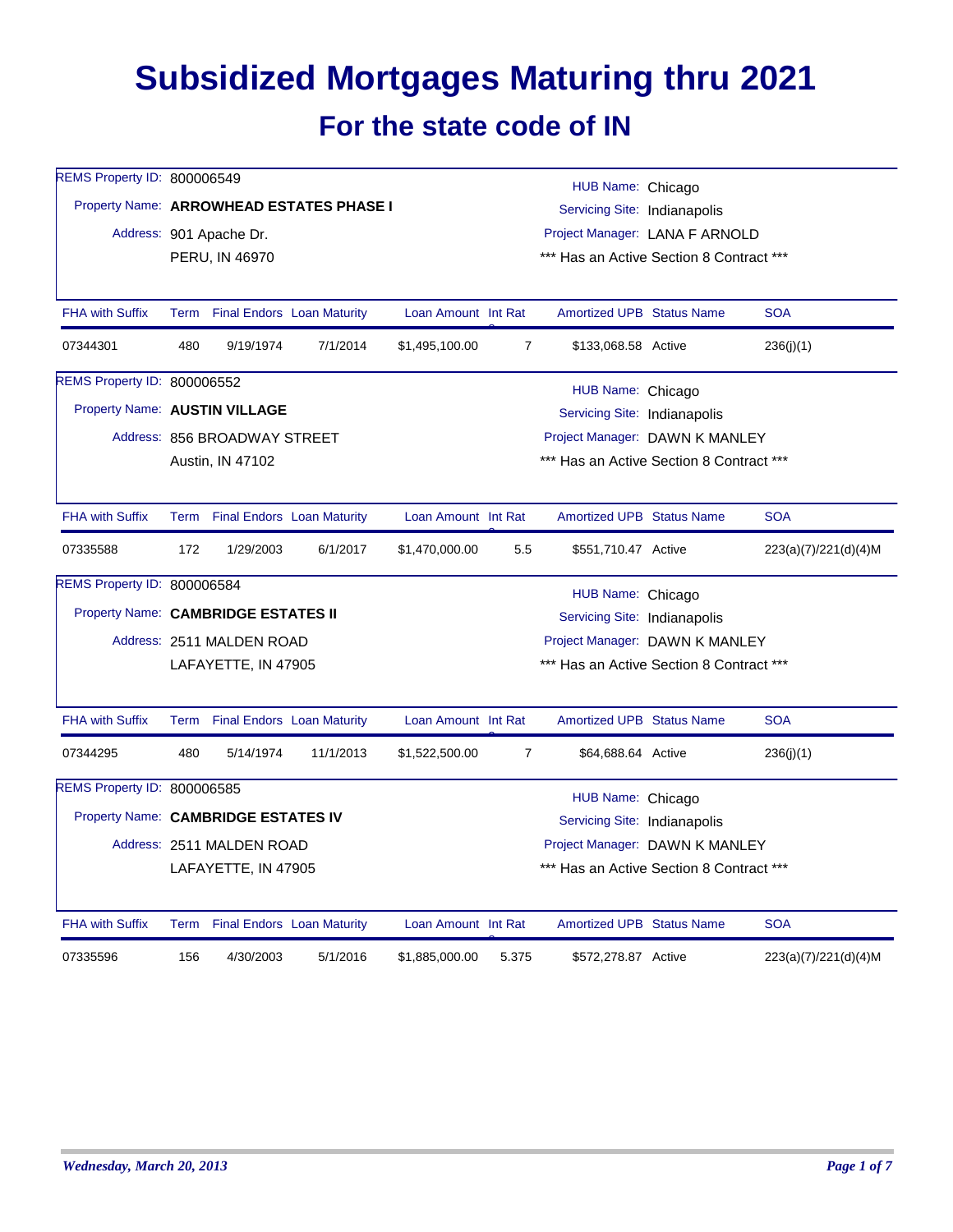## **Subsidized Mortgages Maturing thru 2021 For the state code of IN**

| REMS Property ID: 800006549         |     |                                 |                                          |                     |                                                                | HUB Name: Chicago                        |  |                      |  |  |
|-------------------------------------|-----|---------------------------------|------------------------------------------|---------------------|----------------------------------------------------------------|------------------------------------------|--|----------------------|--|--|
|                                     |     |                                 | Property Name: ARROWHEAD ESTATES PHASE I |                     |                                                                |                                          |  |                      |  |  |
|                                     |     | Address: 901 Apache Dr.         |                                          |                     | Servicing Site: Indianapolis<br>Project Manager: LANA F ARNOLD |                                          |  |                      |  |  |
|                                     |     | PERU, IN 46970                  |                                          |                     |                                                                | *** Has an Active Section 8 Contract *** |  |                      |  |  |
|                                     |     |                                 |                                          |                     |                                                                |                                          |  |                      |  |  |
| <b>FHA with Suffix</b>              |     | Term Final Endors Loan Maturity |                                          | Loan Amount Int Rat |                                                                | <b>Amortized UPB Status Name</b>         |  | <b>SOA</b>           |  |  |
| 07344301                            | 480 | 9/19/1974                       | 7/1/2014                                 | \$1,495,100.00      | $\overline{7}$                                                 | \$133,068.58 Active                      |  | 236(j)(1)            |  |  |
| <b>REMS Property ID: 800006552</b>  |     |                                 |                                          |                     |                                                                | HUB Name: Chicago                        |  |                      |  |  |
| Property Name: AUSTIN VILLAGE       |     |                                 |                                          |                     |                                                                | Servicing Site: Indianapolis             |  |                      |  |  |
|                                     |     | Address: 856 BROADWAY STREET    |                                          |                     |                                                                | Project Manager: DAWN K MANLEY           |  |                      |  |  |
|                                     |     | Austin, IN 47102                |                                          |                     |                                                                | *** Has an Active Section 8 Contract *** |  |                      |  |  |
|                                     |     |                                 |                                          |                     |                                                                |                                          |  |                      |  |  |
| <b>FHA with Suffix</b>              |     | Term Final Endors Loan Maturity |                                          | Loan Amount Int Rat |                                                                | <b>Amortized UPB Status Name</b>         |  | <b>SOA</b>           |  |  |
| 07335588                            | 172 | 1/29/2003                       | 6/1/2017                                 | \$1,470,000.00      | 5.5                                                            | \$551,710.47 Active                      |  | 223(a)(7)/221(d)(4)M |  |  |
| REMS Property ID: 800006584         |     |                                 |                                          |                     |                                                                | HUB Name: Chicago                        |  |                      |  |  |
| Property Name: CAMBRIDGE ESTATES II |     |                                 |                                          |                     |                                                                | Servicing Site: Indianapolis             |  |                      |  |  |
|                                     |     | Address: 2511 MALDEN ROAD       |                                          |                     | Project Manager: DAWN K MANLEY                                 |                                          |  |                      |  |  |
|                                     |     | LAFAYETTE, IN 47905             |                                          |                     | *** Has an Active Section 8 Contract ***                       |                                          |  |                      |  |  |
|                                     |     |                                 |                                          |                     |                                                                |                                          |  |                      |  |  |
| <b>FHA with Suffix</b>              |     | Term Final Endors Loan Maturity |                                          | Loan Amount Int Rat |                                                                | Amortized UPB Status Name                |  | <b>SOA</b>           |  |  |
| 07344295                            | 480 | 5/14/1974                       | 11/1/2013                                | \$1,522,500.00      | $\overline{7}$                                                 | \$64,688.64 Active                       |  | 236(j)(1)            |  |  |
| REMS Property ID: 800006585         |     |                                 |                                          |                     |                                                                | HUB Name: Chicago                        |  |                      |  |  |
| Property Name: CAMBRIDGE ESTATES IV |     |                                 |                                          |                     | Servicing Site: Indianapolis                                   |                                          |  |                      |  |  |
|                                     |     | Address: 2511 MALDEN ROAD       |                                          |                     | Project Manager: DAWN K MANLEY                                 |                                          |  |                      |  |  |
|                                     |     | LAFAYETTE, IN 47905             |                                          |                     |                                                                | *** Has an Active Section 8 Contract *** |  |                      |  |  |
| <b>FHA with Suffix</b>              |     | Term Final Endors Loan Maturity |                                          | Loan Amount Int Rat |                                                                | <b>Amortized UPB Status Name</b>         |  | <b>SOA</b>           |  |  |
| 07335596                            | 156 | 4/30/2003                       | 5/1/2016                                 | \$1,885,000.00      | 5.375                                                          | \$572,278.87 Active                      |  | 223(a)(7)/221(d)(4)M |  |  |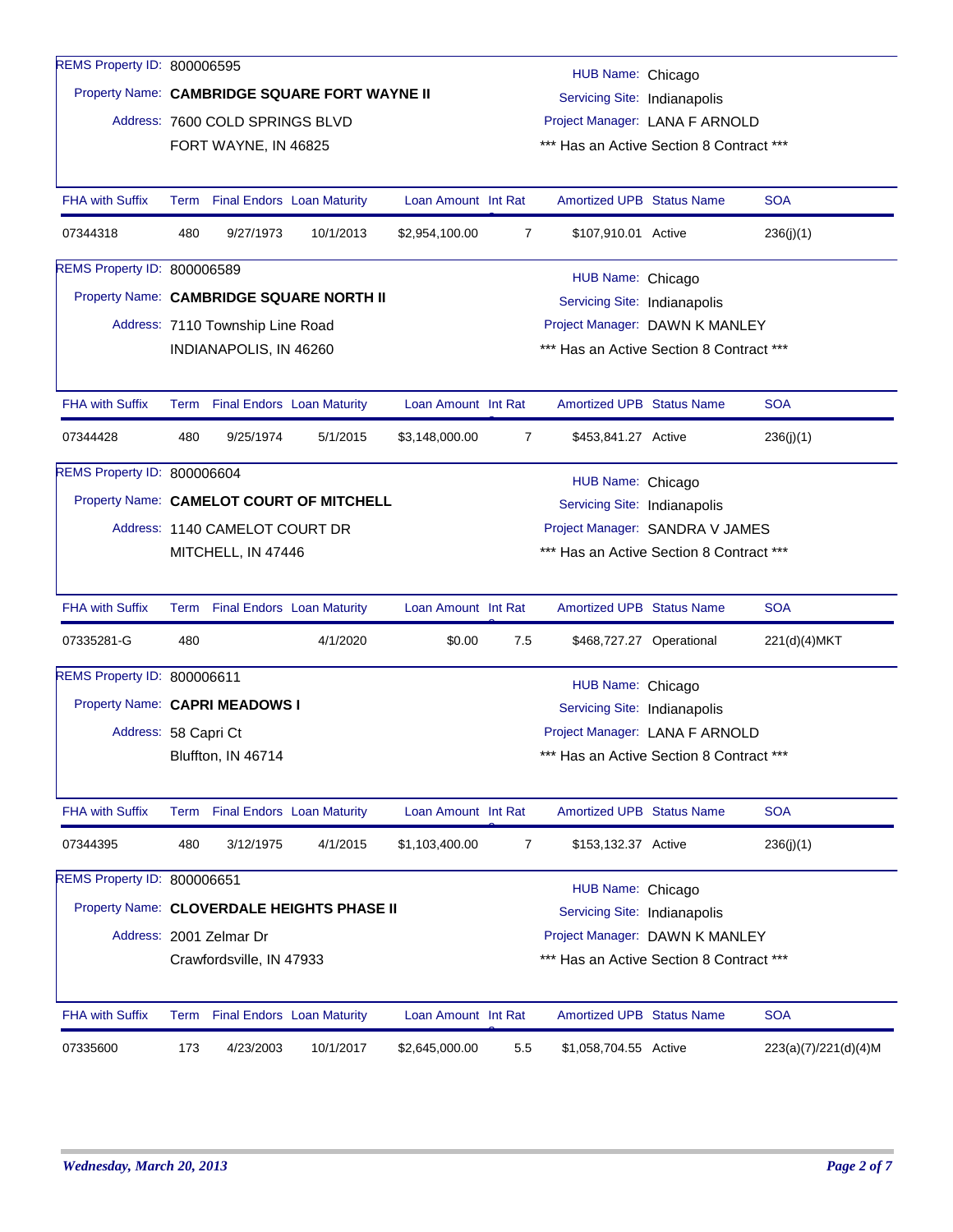| REMS Property ID: 800006595                |                                                                                                    |                                  |                                          |                     |                |                                          |                          |                      |  |  |
|--------------------------------------------|----------------------------------------------------------------------------------------------------|----------------------------------|------------------------------------------|---------------------|----------------|------------------------------------------|--------------------------|----------------------|--|--|
|                                            | HUB Name: Chicago<br>Property Name: CAMBRIDGE SQUARE FORT WAYNE II<br>Servicing Site: Indianapolis |                                  |                                          |                     |                |                                          |                          |                      |  |  |
|                                            |                                                                                                    | Address: 7600 COLD SPRINGS BLVD  |                                          |                     |                | Project Manager: LANA F ARNOLD           |                          |                      |  |  |
|                                            |                                                                                                    | FORT WAYNE, IN 46825             |                                          |                     |                | *** Has an Active Section 8 Contract *** |                          |                      |  |  |
|                                            |                                                                                                    |                                  |                                          |                     |                |                                          |                          |                      |  |  |
| <b>FHA with Suffix</b>                     |                                                                                                    | Term Final Endors Loan Maturity  |                                          | Loan Amount Int Rat |                | Amortized UPB Status Name                |                          | <b>SOA</b>           |  |  |
| 07344318                                   | 480                                                                                                | 9/27/1973                        | 10/1/2013                                | \$2,954,100.00      | 7              | \$107,910.01 Active                      |                          | 236(j)(1)            |  |  |
| REMS Property ID: 800006589                |                                                                                                    |                                  |                                          |                     |                | HUB Name: Chicago                        |                          |                      |  |  |
| Property Name: CAMBRIDGE SQUARE NORTH II   |                                                                                                    |                                  |                                          |                     |                | Servicing Site: Indianapolis             |                          |                      |  |  |
|                                            |                                                                                                    | Address: 7110 Township Line Road |                                          |                     |                | Project Manager: DAWN K MANLEY           |                          |                      |  |  |
|                                            |                                                                                                    | INDIANAPOLIS, IN 46260           |                                          |                     |                | *** Has an Active Section 8 Contract *** |                          |                      |  |  |
|                                            |                                                                                                    |                                  |                                          |                     |                |                                          |                          |                      |  |  |
| <b>FHA with Suffix</b>                     |                                                                                                    | Term Final Endors Loan Maturity  |                                          | Loan Amount Int Rat |                | <b>Amortized UPB Status Name</b>         |                          | <b>SOA</b>           |  |  |
| 07344428                                   | 480                                                                                                | 9/25/1974                        | 5/1/2015                                 | \$3,148,000.00      | $\overline{7}$ | \$453,841.27 Active                      |                          | 236(j)(1)            |  |  |
| <b>REMS Property ID: 800006604</b>         |                                                                                                    |                                  |                                          |                     |                | HUB Name: Chicago                        |                          |                      |  |  |
| Property Name: CAMELOT COURT OF MITCHELL   |                                                                                                    |                                  | Servicing Site: Indianapolis             |                     |                |                                          |                          |                      |  |  |
|                                            |                                                                                                    | Address: 1140 CAMELOT COURT DR   | Project Manager: SANDRA V JAMES          |                     |                |                                          |                          |                      |  |  |
|                                            |                                                                                                    | MITCHELL, IN 47446               |                                          |                     |                | *** Has an Active Section 8 Contract *** |                          |                      |  |  |
|                                            |                                                                                                    |                                  |                                          |                     |                |                                          |                          |                      |  |  |
| <b>FHA with Suffix</b>                     |                                                                                                    | Term Final Endors Loan Maturity  |                                          | Loan Amount Int Rat |                | <b>Amortized UPB Status Name</b>         |                          | <b>SOA</b>           |  |  |
| 07335281-G                                 | 480                                                                                                |                                  | 4/1/2020                                 | \$0.00              | 7.5            |                                          | \$468,727.27 Operational | 221(d)(4)MKT         |  |  |
| REMS Property ID: 800006611                |                                                                                                    |                                  |                                          |                     |                | HUB Name: Chicago                        |                          |                      |  |  |
| Property Name: CAPRI MEADOWS I             |                                                                                                    |                                  |                                          |                     |                | Servicing Site: Indianapolis             |                          |                      |  |  |
| Address: 58 Capri Ct                       |                                                                                                    |                                  |                                          |                     |                | Project Manager: LANA F ARNOLD           |                          |                      |  |  |
|                                            |                                                                                                    | Bluffton, IN 46714               |                                          |                     |                | *** Has an Active Section 8 Contract *** |                          |                      |  |  |
|                                            |                                                                                                    |                                  |                                          |                     |                |                                          |                          |                      |  |  |
| FHA with Suffix                            |                                                                                                    | Term Final Endors Loan Maturity  |                                          | Loan Amount Int Rat |                | <b>Amortized UPB Status Name</b>         |                          | <b>SOA</b>           |  |  |
| 07344395                                   | 480                                                                                                | 3/12/1975                        | 4/1/2015                                 | \$1,103,400.00      | 7              | \$153,132.37 Active                      |                          | 236(j)(1)            |  |  |
| REMS Property ID: 800006651                |                                                                                                    |                                  |                                          |                     |                | HUB Name: Chicago                        |                          |                      |  |  |
| Property Name: CLOVERDALE HEIGHTS PHASE II |                                                                                                    |                                  |                                          |                     |                | Servicing Site: Indianapolis             |                          |                      |  |  |
|                                            |                                                                                                    | Address: 2001 Zelmar Dr          |                                          |                     |                | Project Manager: DAWN K MANLEY           |                          |                      |  |  |
|                                            |                                                                                                    | Crawfordsville, IN 47933         | *** Has an Active Section 8 Contract *** |                     |                |                                          |                          |                      |  |  |
|                                            |                                                                                                    |                                  |                                          |                     |                |                                          |                          |                      |  |  |
| <b>FHA with Suffix</b>                     |                                                                                                    | Term Final Endors Loan Maturity  |                                          | Loan Amount Int Rat |                | <b>Amortized UPB Status Name</b>         |                          | <b>SOA</b>           |  |  |
| 07335600                                   | 173                                                                                                | 4/23/2003                        | 10/1/2017                                | \$2,645,000.00      | 5.5            | \$1,058,704.55 Active                    |                          | 223(a)(7)/221(d)(4)M |  |  |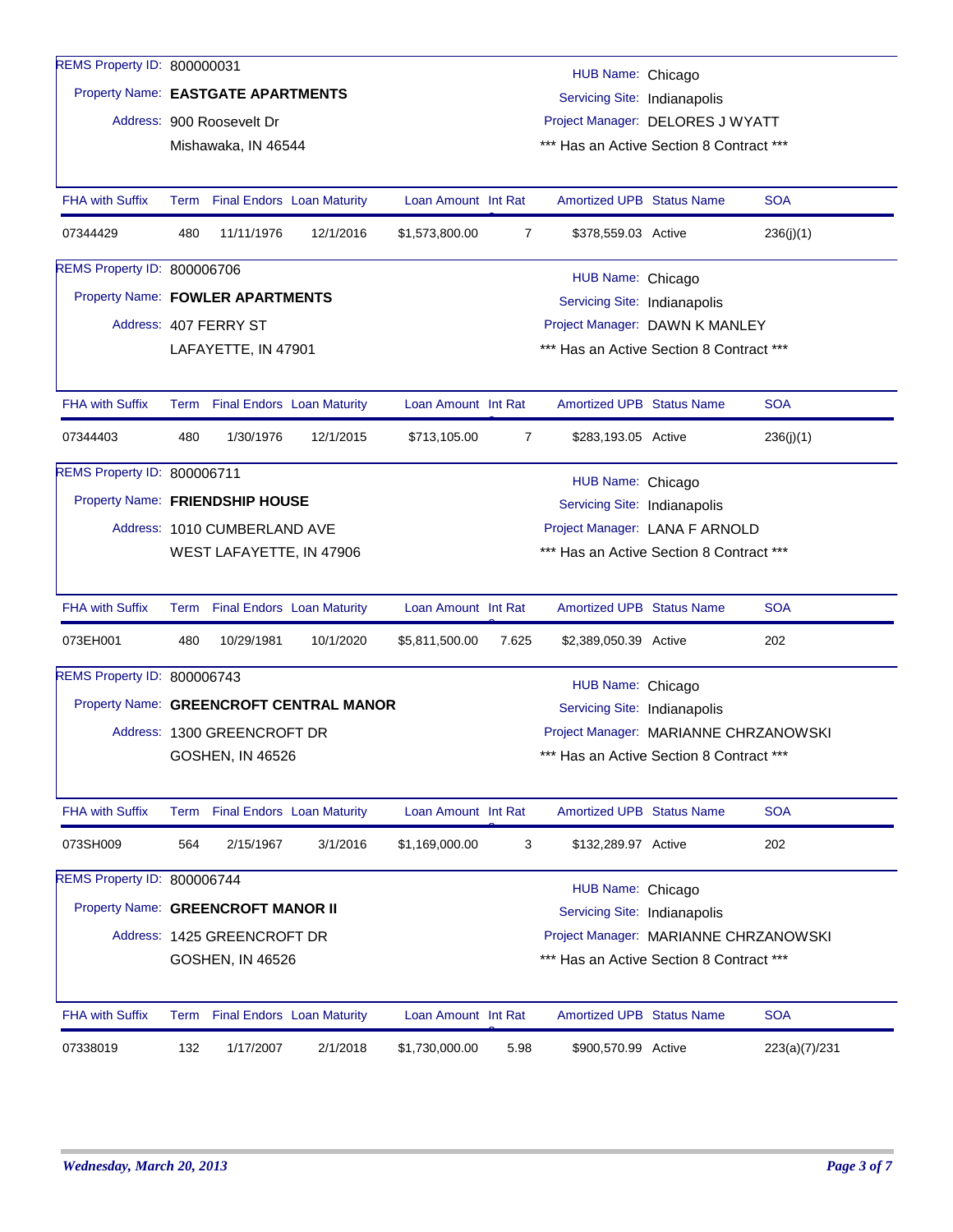| REMS Property ID: 800000031        |                                                                     |                                                                                       |                                         |                     |                | HUB Name: Chicago                        |  |               |  |  |  |  |
|------------------------------------|---------------------------------------------------------------------|---------------------------------------------------------------------------------------|-----------------------------------------|---------------------|----------------|------------------------------------------|--|---------------|--|--|--|--|
|                                    |                                                                     | Property Name: EASTGATE APARTMENTS<br>Servicing Site: Indianapolis                    |                                         |                     |                |                                          |  |               |  |  |  |  |
|                                    | Address: 900 Roosevelt Dr<br>Project Manager: DELORES J WYATT       |                                                                                       |                                         |                     |                |                                          |  |               |  |  |  |  |
|                                    |                                                                     | Mishawaka, IN 46544                                                                   |                                         |                     |                | *** Has an Active Section 8 Contract *** |  |               |  |  |  |  |
|                                    |                                                                     |                                                                                       |                                         |                     |                |                                          |  |               |  |  |  |  |
| <b>FHA with Suffix</b>             | Term                                                                |                                                                                       | <b>Final Endors Loan Maturity</b>       | Loan Amount Int Rat |                | <b>Amortized UPB Status Name</b>         |  | <b>SOA</b>    |  |  |  |  |
| 07344429                           | 480                                                                 | 11/11/1976                                                                            | 12/1/2016                               | \$1,573,800.00      | $\overline{7}$ | \$378,559.03 Active                      |  | 236(j)(1)     |  |  |  |  |
| REMS Property ID: 800006706        |                                                                     |                                                                                       |                                         |                     |                |                                          |  |               |  |  |  |  |
|                                    |                                                                     | HUB Name: Chicago<br>Property Name: FOWLER APARTMENTS<br>Servicing Site: Indianapolis |                                         |                     |                |                                          |  |               |  |  |  |  |
|                                    |                                                                     | Address: 407 FERRY ST                                                                 |                                         |                     |                | Project Manager: DAWN K MANLEY           |  |               |  |  |  |  |
|                                    |                                                                     | LAFAYETTE, IN 47901                                                                   |                                         |                     |                | *** Has an Active Section 8 Contract *** |  |               |  |  |  |  |
|                                    |                                                                     |                                                                                       |                                         |                     |                |                                          |  |               |  |  |  |  |
| <b>FHA with Suffix</b>             |                                                                     |                                                                                       | Term Final Endors Loan Maturity         | Loan Amount Int Rat |                | <b>Amortized UPB Status Name</b>         |  | <b>SOA</b>    |  |  |  |  |
| 07344403                           | 480                                                                 | 1/30/1976                                                                             | 12/1/2015                               | \$713,105.00        | 7              | \$283,193.05 Active                      |  | 236(j)(1)     |  |  |  |  |
| REMS Property ID: 800006711        |                                                                     |                                                                                       |                                         |                     |                | HUB Name: Chicago                        |  |               |  |  |  |  |
| Property Name: FRIENDSHIP HOUSE    |                                                                     |                                                                                       |                                         |                     |                | Servicing Site: Indianapolis             |  |               |  |  |  |  |
|                                    |                                                                     | Address: 1010 CUMBERLAND AVE                                                          |                                         |                     |                | Project Manager: LANA F ARNOLD           |  |               |  |  |  |  |
|                                    |                                                                     | WEST LAFAYETTE, IN 47906                                                              |                                         |                     |                | *** Has an Active Section 8 Contract *** |  |               |  |  |  |  |
|                                    |                                                                     |                                                                                       |                                         |                     |                |                                          |  |               |  |  |  |  |
| <b>FHA with Suffix</b>             |                                                                     |                                                                                       | Term Final Endors Loan Maturity         | Loan Amount Int Rat |                | <b>Amortized UPB Status Name</b>         |  | <b>SOA</b>    |  |  |  |  |
| 073EH001                           | 480                                                                 | 10/29/1981                                                                            | 10/1/2020                               | \$5,811,500.00      | 7.625          | \$2,389,050.39 Active                    |  | 202           |  |  |  |  |
| REMS Property ID: 800006743        |                                                                     |                                                                                       |                                         |                     |                | HUB Name: Chicago                        |  |               |  |  |  |  |
|                                    |                                                                     |                                                                                       | Property Name: GREENCROFT CENTRAL MANOR |                     |                | Servicing Site: Indianapolis             |  |               |  |  |  |  |
|                                    |                                                                     | Address: 1300 GREENCROFT DR                                                           |                                         |                     |                | Project Manager: MARIANNE CHRZANOWSKI    |  |               |  |  |  |  |
|                                    |                                                                     | <b>GOSHEN, IN 46526</b>                                                               |                                         |                     |                | *** Has an Active Section 8 Contract *** |  |               |  |  |  |  |
|                                    |                                                                     |                                                                                       |                                         |                     |                |                                          |  |               |  |  |  |  |
| <b>FHA with Suffix</b>             | Term                                                                |                                                                                       | <b>Final Endors Loan Maturity</b>       | Loan Amount Int Rat |                | Amortized UPB Status Name                |  | <b>SOA</b>    |  |  |  |  |
| 073SH009                           | 564                                                                 | 2/15/1967                                                                             | 3/1/2016                                | \$1,169,000.00      | 3              | \$132,289.97 Active                      |  | 202           |  |  |  |  |
| REMS Property ID: 800006744        |                                                                     |                                                                                       |                                         |                     |                | HUB Name: Chicago                        |  |               |  |  |  |  |
| Property Name: GREENCROFT MANOR II |                                                                     |                                                                                       |                                         |                     |                | Servicing Site: Indianapolis             |  |               |  |  |  |  |
|                                    |                                                                     | Address: 1425 GREENCROFT DR                                                           |                                         |                     |                | Project Manager: MARIANNE CHRZANOWSKI    |  |               |  |  |  |  |
|                                    | *** Has an Active Section 8 Contract ***<br><b>GOSHEN, IN 46526</b> |                                                                                       |                                         |                     |                |                                          |  |               |  |  |  |  |
|                                    |                                                                     |                                                                                       |                                         |                     |                |                                          |  |               |  |  |  |  |
| <b>FHA with Suffix</b>             | Term                                                                |                                                                                       | <b>Final Endors</b> Loan Maturity       | Loan Amount Int Rat |                | <b>Amortized UPB Status Name</b>         |  | <b>SOA</b>    |  |  |  |  |
| 07338019                           | 132                                                                 | 1/17/2007                                                                             | 2/1/2018                                | \$1,730,000.00      | 5.98           | \$900,570.99 Active                      |  | 223(a)(7)/231 |  |  |  |  |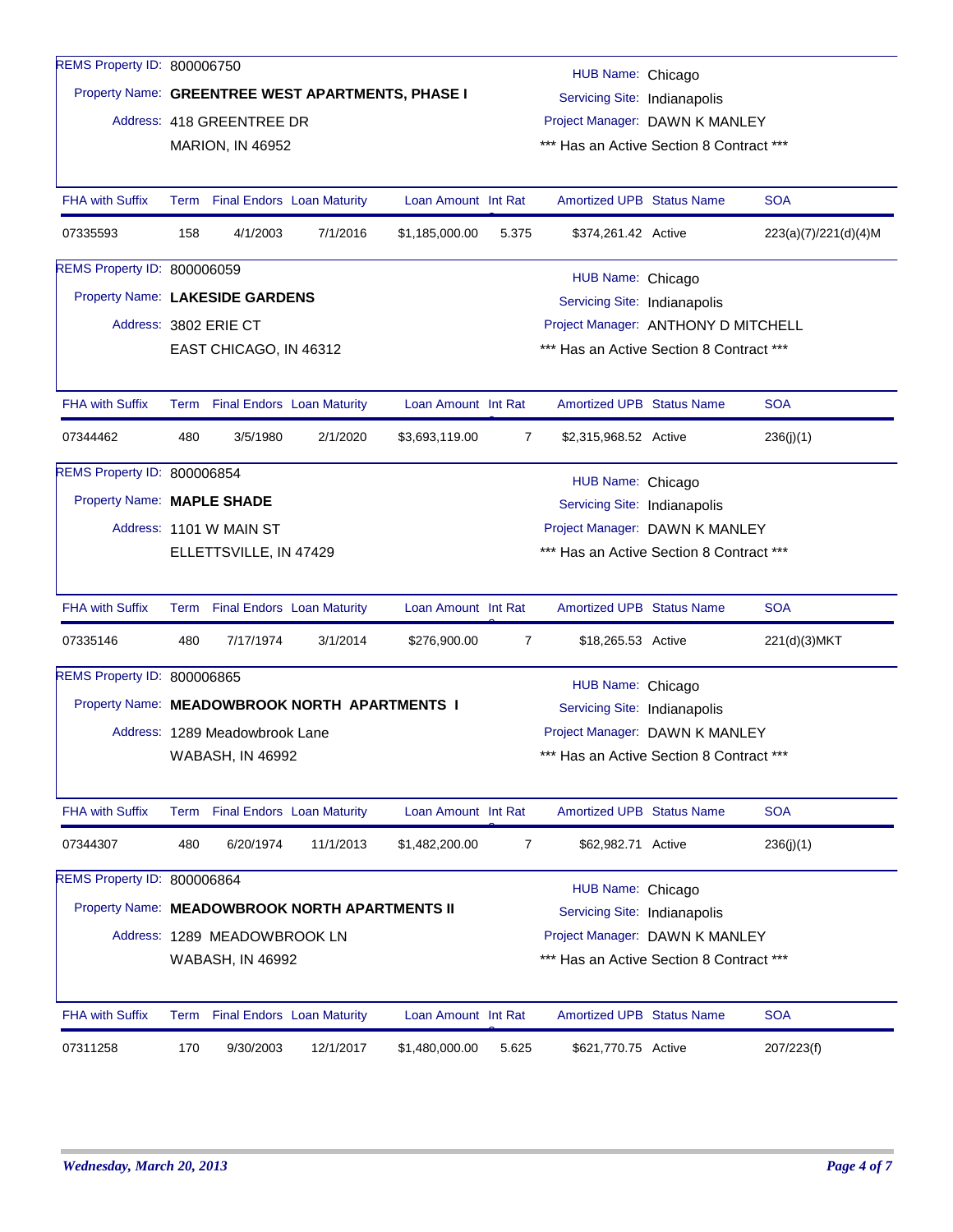| REMS Property ID: 800006750                    |                                                                     |                                                                                      |                                   |                                                   |                              |                                                                |  |                      |  |  |  |  |
|------------------------------------------------|---------------------------------------------------------------------|--------------------------------------------------------------------------------------|-----------------------------------|---------------------------------------------------|------------------------------|----------------------------------------------------------------|--|----------------------|--|--|--|--|
|                                                |                                                                     |                                                                                      |                                   | Property Name: GREENTREE WEST APARTMENTS, PHASE I |                              | HUB Name: Chicago                                              |  |                      |  |  |  |  |
|                                                |                                                                     |                                                                                      |                                   |                                                   |                              | Servicing Site: Indianapolis<br>Project Manager: DAWN K MANLEY |  |                      |  |  |  |  |
|                                                |                                                                     | Address: 418 GREENTREE DR                                                            |                                   |                                                   |                              |                                                                |  |                      |  |  |  |  |
|                                                |                                                                     | <b>MARION, IN 46952</b>                                                              |                                   |                                                   |                              | *** Has an Active Section 8 Contract ***                       |  |                      |  |  |  |  |
| <b>FHA with Suffix</b>                         |                                                                     | Term Final Endors Loan Maturity                                                      |                                   | Loan Amount Int Rat                               |                              | <b>Amortized UPB Status Name</b>                               |  | <b>SOA</b>           |  |  |  |  |
| 07335593                                       | 158                                                                 | 4/1/2003                                                                             | 7/1/2016                          | \$1,185,000.00                                    | 5.375                        | \$374,261.42 Active                                            |  | 223(a)(7)/221(d)(4)M |  |  |  |  |
| <b>REMS Property ID: 800006059</b>             |                                                                     |                                                                                      |                                   |                                                   |                              |                                                                |  |                      |  |  |  |  |
|                                                |                                                                     | HUB Name: Chicago<br>Property Name: LAKESIDE GARDENS<br>Servicing Site: Indianapolis |                                   |                                                   |                              |                                                                |  |                      |  |  |  |  |
|                                                |                                                                     | Address: 3802 ERIE CT                                                                |                                   |                                                   |                              | Project Manager: ANTHONY D MITCHELL                            |  |                      |  |  |  |  |
|                                                |                                                                     | EAST CHICAGO, IN 46312                                                               |                                   |                                                   |                              | *** Has an Active Section 8 Contract ***                       |  |                      |  |  |  |  |
|                                                |                                                                     |                                                                                      |                                   |                                                   |                              |                                                                |  |                      |  |  |  |  |
| <b>FHA with Suffix</b>                         |                                                                     | Term Final Endors Loan Maturity                                                      |                                   | Loan Amount Int Rat                               |                              | <b>Amortized UPB Status Name</b>                               |  | <b>SOA</b>           |  |  |  |  |
| 07344462                                       | 480                                                                 | 3/5/1980                                                                             | 2/1/2020                          | \$3,693,119.00                                    | $\overline{7}$               | \$2,315,968.52 Active                                          |  | 236(j)(1)            |  |  |  |  |
| REMS Property ID: 800006854                    |                                                                     |                                                                                      |                                   |                                                   |                              | HUB Name: Chicago                                              |  |                      |  |  |  |  |
| Property Name: MAPLE SHADE                     |                                                                     |                                                                                      |                                   |                                                   | Servicing Site: Indianapolis |                                                                |  |                      |  |  |  |  |
|                                                |                                                                     | Address: 1101 W MAIN ST                                                              |                                   |                                                   |                              | Project Manager: DAWN K MANLEY                                 |  |                      |  |  |  |  |
|                                                |                                                                     | ELLETTSVILLE, IN 47429                                                               |                                   |                                                   |                              | *** Has an Active Section 8 Contract ***                       |  |                      |  |  |  |  |
| <b>FHA with Suffix</b>                         |                                                                     | Term Final Endors Loan Maturity                                                      |                                   | Loan Amount Int Rat                               |                              | <b>Amortized UPB Status Name</b>                               |  | <b>SOA</b>           |  |  |  |  |
| 07335146                                       | 480                                                                 | 7/17/1974                                                                            | 3/1/2014                          | \$276,900.00                                      | $\overline{7}$               | \$18,265.53 Active                                             |  | 221(d)(3)MKT         |  |  |  |  |
| REMS Property ID: 800006865                    |                                                                     |                                                                                      |                                   |                                                   |                              | HUB Name: Chicago                                              |  |                      |  |  |  |  |
| Property Name: MEADOWBROOK NORTH APARTMENTS I  |                                                                     |                                                                                      |                                   |                                                   |                              | Servicing Site: Indianapolis                                   |  |                      |  |  |  |  |
|                                                |                                                                     | Address: 1289 Meadowbrook Lane                                                       |                                   |                                                   |                              | Project Manager: DAWN K MANLEY                                 |  |                      |  |  |  |  |
|                                                |                                                                     | <b>WABASH, IN 46992</b>                                                              |                                   |                                                   |                              | *** Has an Active Section 8 Contract ***                       |  |                      |  |  |  |  |
|                                                |                                                                     |                                                                                      |                                   |                                                   |                              |                                                                |  |                      |  |  |  |  |
| <b>FHA with Suffix</b>                         | Term                                                                |                                                                                      | <b>Final Endors Loan Maturity</b> | Loan Amount Int Rat                               |                              | <b>Amortized UPB Status Name</b>                               |  | <b>SOA</b>           |  |  |  |  |
| 07344307                                       | 480                                                                 | 6/20/1974                                                                            | 11/1/2013                         | \$1,482,200.00                                    | $\overline{7}$               | \$62,982.71 Active                                             |  | 236(j)(1)            |  |  |  |  |
| REMS Property ID: 800006864                    |                                                                     |                                                                                      |                                   |                                                   |                              | HUB Name: Chicago                                              |  |                      |  |  |  |  |
| Property Name: MEADOWBROOK NORTH APARTMENTS II |                                                                     |                                                                                      |                                   |                                                   |                              | Servicing Site: Indianapolis                                   |  |                      |  |  |  |  |
|                                                |                                                                     | Address: 1289 MEADOWBROOK LN                                                         |                                   |                                                   |                              | Project Manager: DAWN K MANLEY                                 |  |                      |  |  |  |  |
|                                                | *** Has an Active Section 8 Contract ***<br><b>WABASH, IN 46992</b> |                                                                                      |                                   |                                                   |                              |                                                                |  |                      |  |  |  |  |
|                                                |                                                                     |                                                                                      |                                   |                                                   |                              |                                                                |  |                      |  |  |  |  |
| <b>FHA with Suffix</b>                         |                                                                     | Term Final Endors Loan Maturity                                                      |                                   | Loan Amount Int Rat                               |                              | Amortized UPB Status Name                                      |  | <b>SOA</b>           |  |  |  |  |
| 07311258                                       | 170                                                                 | 9/30/2003                                                                            | 12/1/2017                         | \$1,480,000.00                                    | 5.625                        | \$621,770.75 Active                                            |  | 207/223(f)           |  |  |  |  |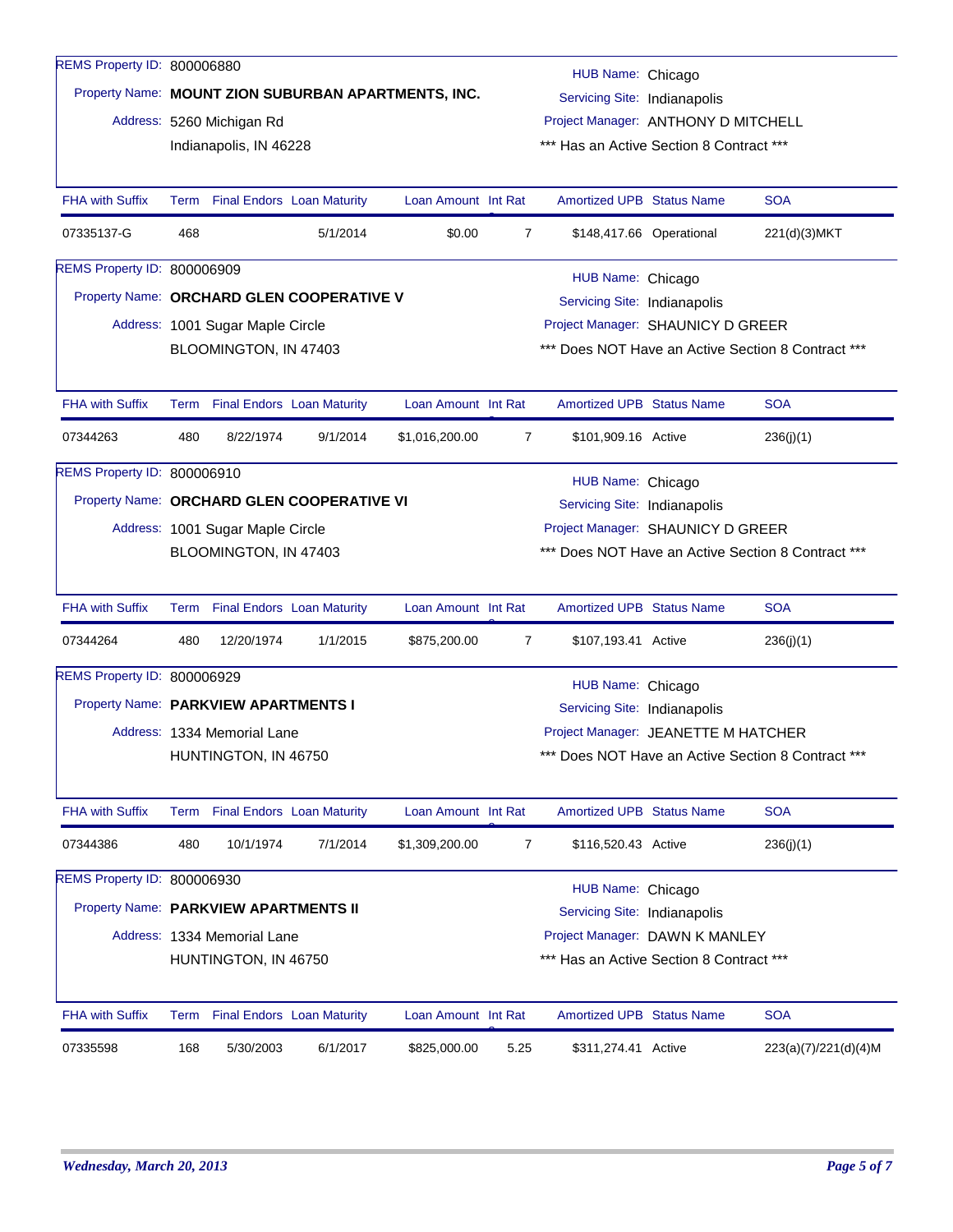| REMS Property ID: 800006880                |                                                                  |                                                                                                          |                                   |                     |                |                                                                                 |                          |                                                    |  |  |  |  |
|--------------------------------------------|------------------------------------------------------------------|----------------------------------------------------------------------------------------------------------|-----------------------------------|---------------------|----------------|---------------------------------------------------------------------------------|--------------------------|----------------------------------------------------|--|--|--|--|
|                                            |                                                                  | HUB Name: Chicago<br>Property Name: MOUNT ZION SUBURBAN APARTMENTS, INC.<br>Servicing Site: Indianapolis |                                   |                     |                |                                                                                 |                          |                                                    |  |  |  |  |
|                                            |                                                                  | Address: 5260 Michigan Rd                                                                                |                                   |                     |                |                                                                                 |                          |                                                    |  |  |  |  |
|                                            |                                                                  | Indianapolis, IN 46228                                                                                   |                                   |                     |                | Project Manager: ANTHONY D MITCHELL<br>*** Has an Active Section 8 Contract *** |                          |                                                    |  |  |  |  |
|                                            |                                                                  |                                                                                                          |                                   |                     |                |                                                                                 |                          |                                                    |  |  |  |  |
| <b>FHA with Suffix</b>                     | Term                                                             |                                                                                                          | <b>Final Endors Loan Maturity</b> | Loan Amount Int Rat |                | Amortized UPB Status Name                                                       |                          | <b>SOA</b>                                         |  |  |  |  |
| 07335137-G                                 | 468                                                              |                                                                                                          | 5/1/2014                          | \$0.00              | $\overline{7}$ |                                                                                 | \$148,417.66 Operational | 221(d)(3)MKT                                       |  |  |  |  |
| REMS Property ID: 800006909                |                                                                  |                                                                                                          |                                   |                     |                | HUB Name: Chicago                                                               |                          |                                                    |  |  |  |  |
| Property Name: ORCHARD GLEN COOPERATIVE V  |                                                                  |                                                                                                          |                                   |                     |                | Servicing Site: Indianapolis                                                    |                          |                                                    |  |  |  |  |
|                                            |                                                                  | Address: 1001 Sugar Maple Circle                                                                         |                                   |                     |                | Project Manager: SHAUNICY D GREER                                               |                          |                                                    |  |  |  |  |
|                                            |                                                                  | BLOOMINGTON, IN 47403                                                                                    |                                   |                     |                |                                                                                 |                          | *** Does NOT Have an Active Section 8 Contract *** |  |  |  |  |
|                                            |                                                                  |                                                                                                          |                                   |                     |                |                                                                                 |                          |                                                    |  |  |  |  |
| <b>FHA with Suffix</b>                     |                                                                  | Term Final Endors Loan Maturity                                                                          |                                   | Loan Amount Int Rat |                | <b>Amortized UPB Status Name</b>                                                |                          | <b>SOA</b>                                         |  |  |  |  |
| 07344263                                   | 480                                                              | 8/22/1974                                                                                                | 9/1/2014                          | \$1,016,200.00      | $\overline{7}$ | \$101,909.16 Active                                                             |                          | 236(j)(1)                                          |  |  |  |  |
| REMS Property ID: 800006910                |                                                                  |                                                                                                          |                                   |                     |                | HUB Name: Chicago                                                               |                          |                                                    |  |  |  |  |
| Property Name: ORCHARD GLEN COOPERATIVE VI |                                                                  |                                                                                                          |                                   |                     |                | Servicing Site: Indianapolis                                                    |                          |                                                    |  |  |  |  |
|                                            |                                                                  | Address: 1001 Sugar Maple Circle                                                                         |                                   |                     |                | Project Manager: SHAUNICY D GREER                                               |                          |                                                    |  |  |  |  |
|                                            |                                                                  | BLOOMINGTON, IN 47403                                                                                    |                                   |                     |                | *** Does NOT Have an Active Section 8 Contract ***                              |                          |                                                    |  |  |  |  |
|                                            |                                                                  |                                                                                                          |                                   |                     |                |                                                                                 |                          |                                                    |  |  |  |  |
| <b>FHA with Suffix</b>                     |                                                                  | Term Final Endors Loan Maturity                                                                          |                                   | Loan Amount Int Rat |                | <b>Amortized UPB Status Name</b>                                                |                          | <b>SOA</b>                                         |  |  |  |  |
| 07344264                                   | 480                                                              | 12/20/1974                                                                                               | 1/1/2015                          | \$875,200.00        | 7              | \$107,193.41 Active                                                             |                          | 236(j)(1)                                          |  |  |  |  |
| REMS Property ID: 800006929                |                                                                  |                                                                                                          |                                   |                     |                | HUB Name: Chicago                                                               |                          |                                                    |  |  |  |  |
| Property Name: PARKVIEW APARTMENTS I       |                                                                  |                                                                                                          |                                   |                     |                | Servicing Site: Indianapolis                                                    |                          |                                                    |  |  |  |  |
|                                            |                                                                  | Address: 1334 Memorial Lane                                                                              |                                   |                     |                | Project Manager: JEANETTE M HATCHER                                             |                          |                                                    |  |  |  |  |
|                                            |                                                                  | HUNTINGTON, IN 46750                                                                                     |                                   |                     |                | Does NOT Have an Active Section 8 Contract ***                                  |                          |                                                    |  |  |  |  |
|                                            |                                                                  |                                                                                                          |                                   |                     |                |                                                                                 |                          |                                                    |  |  |  |  |
| <b>FHA with Suffix</b>                     | Term                                                             |                                                                                                          | <b>Final Endors Loan Maturity</b> | Loan Amount Int Rat |                | Amortized UPB Status Name                                                       |                          | <b>SOA</b>                                         |  |  |  |  |
| 07344386                                   | 480                                                              | 10/1/1974                                                                                                | 7/1/2014                          | \$1,309,200.00      | 7              | \$116,520.43 Active                                                             |                          | 236(j)(1)                                          |  |  |  |  |
| REMS Property ID: 800006930                |                                                                  |                                                                                                          |                                   |                     |                | HUB Name: Chicago                                                               |                          |                                                    |  |  |  |  |
| Property Name: PARKVIEW APARTMENTS II      |                                                                  |                                                                                                          |                                   |                     |                | Servicing Site: Indianapolis                                                    |                          |                                                    |  |  |  |  |
|                                            |                                                                  | Address: 1334 Memorial Lane                                                                              |                                   |                     |                | Project Manager: DAWN K MANLEY                                                  |                          |                                                    |  |  |  |  |
|                                            | *** Has an Active Section 8 Contract ***<br>HUNTINGTON, IN 46750 |                                                                                                          |                                   |                     |                |                                                                                 |                          |                                                    |  |  |  |  |
|                                            |                                                                  |                                                                                                          |                                   |                     |                |                                                                                 |                          |                                                    |  |  |  |  |
| <b>FHA with Suffix</b>                     |                                                                  | Term Final Endors Loan Maturity                                                                          |                                   | Loan Amount Int Rat |                | <b>Amortized UPB Status Name</b>                                                |                          | <b>SOA</b>                                         |  |  |  |  |
| 07335598                                   | 168                                                              | 5/30/2003                                                                                                | 6/1/2017                          | \$825,000.00        | 5.25           | \$311,274.41 Active                                                             |                          | 223(a)(7)/221(d)(4)M                               |  |  |  |  |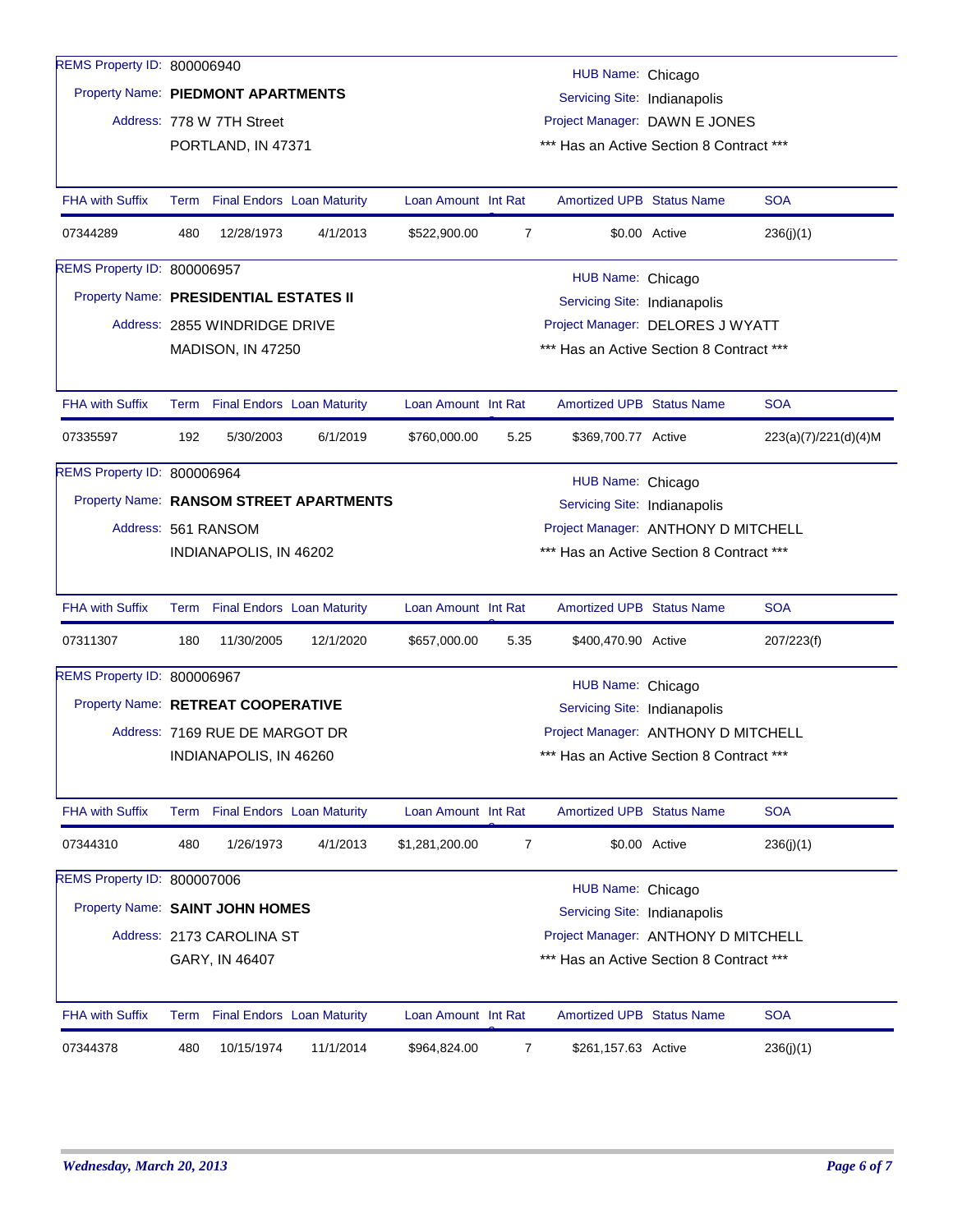| REMS Property ID: 800006940            |                                                                                                                                |                                                                    |                                         |                     |                | HUB Name: Chicago                        |               |                      |  |  |  |
|----------------------------------------|--------------------------------------------------------------------------------------------------------------------------------|--------------------------------------------------------------------|-----------------------------------------|---------------------|----------------|------------------------------------------|---------------|----------------------|--|--|--|
|                                        |                                                                                                                                | Property Name: PIEDMONT APARTMENTS<br>Servicing Site: Indianapolis |                                         |                     |                |                                          |               |                      |  |  |  |
|                                        |                                                                                                                                | Address: 778 W 7TH Street                                          |                                         |                     |                | Project Manager: DAWN E JONES            |               |                      |  |  |  |
|                                        |                                                                                                                                | PORTLAND, IN 47371                                                 |                                         |                     |                | *** Has an Active Section 8 Contract *** |               |                      |  |  |  |
|                                        |                                                                                                                                |                                                                    |                                         |                     |                |                                          |               |                      |  |  |  |
| <b>FHA with Suffix</b>                 |                                                                                                                                | Term Final Endors Loan Maturity                                    |                                         | Loan Amount Int Rat |                | <b>Amortized UPB Status Name</b>         |               | <b>SOA</b>           |  |  |  |
| 07344289                               | 480                                                                                                                            | 12/28/1973                                                         | 4/1/2013                                | \$522,900.00        | $\overline{7}$ |                                          | \$0.00 Active | 236(j)(1)            |  |  |  |
| REMS Property ID: 800006957            |                                                                                                                                |                                                                    |                                         |                     |                | HUB Name: Chicago                        |               |                      |  |  |  |
| Property Name: PRESIDENTIAL ESTATES II |                                                                                                                                |                                                                    |                                         |                     |                | Servicing Site: Indianapolis             |               |                      |  |  |  |
|                                        |                                                                                                                                | Address: 2855 WINDRIDGE DRIVE                                      |                                         |                     |                | Project Manager: DELORES J WYATT         |               |                      |  |  |  |
|                                        |                                                                                                                                | MADISON, IN 47250                                                  |                                         |                     |                | *** Has an Active Section 8 Contract *** |               |                      |  |  |  |
|                                        |                                                                                                                                |                                                                    |                                         |                     |                |                                          |               |                      |  |  |  |
| <b>FHA with Suffix</b>                 |                                                                                                                                | Term Final Endors Loan Maturity                                    |                                         | Loan Amount Int Rat |                | <b>Amortized UPB Status Name</b>         |               | <b>SOA</b>           |  |  |  |
| 07335597                               | 192                                                                                                                            | 5/30/2003                                                          | 6/1/2019                                | \$760,000.00        | 5.25           | \$369,700.77 Active                      |               | 223(a)(7)/221(d)(4)M |  |  |  |
| REMS Property ID: 800006964            |                                                                                                                                |                                                                    |                                         |                     |                | HUB Name: Chicago                        |               |                      |  |  |  |
|                                        |                                                                                                                                |                                                                    | Property Name: RANSOM STREET APARTMENTS |                     |                | Servicing Site: Indianapolis             |               |                      |  |  |  |
| Address: 561 RANSOM                    |                                                                                                                                | Project Manager: ANTHONY D MITCHELL                                |                                         |                     |                |                                          |               |                      |  |  |  |
|                                        |                                                                                                                                | INDIANAPOLIS, IN 46202                                             |                                         |                     |                | *** Has an Active Section 8 Contract *** |               |                      |  |  |  |
|                                        |                                                                                                                                |                                                                    |                                         |                     |                |                                          |               |                      |  |  |  |
| <b>FHA with Suffix</b>                 |                                                                                                                                | Term Final Endors Loan Maturity                                    |                                         | Loan Amount Int Rat |                | <b>Amortized UPB Status Name</b>         |               | <b>SOA</b>           |  |  |  |
| 07311307                               | 180                                                                                                                            | 11/30/2005                                                         | 12/1/2020                               | \$657,000.00        | 5.35           | \$400,470.90 Active                      |               | 207/223(f)           |  |  |  |
| REMS Property ID: 800006967            |                                                                                                                                |                                                                    |                                         |                     |                | HUB Name: Chicago                        |               |                      |  |  |  |
| Property Name: RETREAT COOPERATIVE     |                                                                                                                                |                                                                    |                                         |                     |                | Servicing Site: Indianapolis             |               |                      |  |  |  |
|                                        |                                                                                                                                | Address: 7169 RUE DE MARGOT DR                                     |                                         |                     |                | Project Manager: ANTHONY D MITCHELL      |               |                      |  |  |  |
|                                        |                                                                                                                                | INDIANAPOLIS, IN 46260                                             |                                         |                     |                | *** Has an Active Section 8 Contract *** |               |                      |  |  |  |
|                                        |                                                                                                                                |                                                                    |                                         |                     |                |                                          |               |                      |  |  |  |
| FHA with Suffix                        |                                                                                                                                | Term Final Endors Loan Maturity                                    |                                         | Loan Amount Int Rat |                | Amortized UPB Status Name                |               | <b>SOA</b>           |  |  |  |
| 07344310                               | 480                                                                                                                            | 1/26/1973                                                          | 4/1/2013                                | \$1,281,200.00      | 7              |                                          | \$0.00 Active | 236(j)(1)            |  |  |  |
| REMS Property ID: 800007006            |                                                                                                                                |                                                                    |                                         |                     |                | HUB Name: Chicago                        |               |                      |  |  |  |
| Property Name: SAINT JOHN HOMES        |                                                                                                                                |                                                                    |                                         |                     |                | Servicing Site: Indianapolis             |               |                      |  |  |  |
|                                        |                                                                                                                                |                                                                    |                                         |                     |                |                                          |               |                      |  |  |  |
|                                        | Address: 2173 CAROLINA ST<br>Project Manager: ANTHONY D MITCHELL<br>*** Has an Active Section 8 Contract ***<br>GARY, IN 46407 |                                                                    |                                         |                     |                |                                          |               |                      |  |  |  |
|                                        |                                                                                                                                |                                                                    |                                         |                     |                |                                          |               |                      |  |  |  |
| <b>FHA with Suffix</b>                 |                                                                                                                                | Term Final Endors Loan Maturity                                    |                                         | Loan Amount Int Rat |                | <b>Amortized UPB Status Name</b>         |               | <b>SOA</b>           |  |  |  |
| 07344378                               | 480                                                                                                                            | 10/15/1974                                                         | 11/1/2014                               | \$964,824.00        | 7              | \$261,157.63 Active                      |               | 236(j)(1)            |  |  |  |